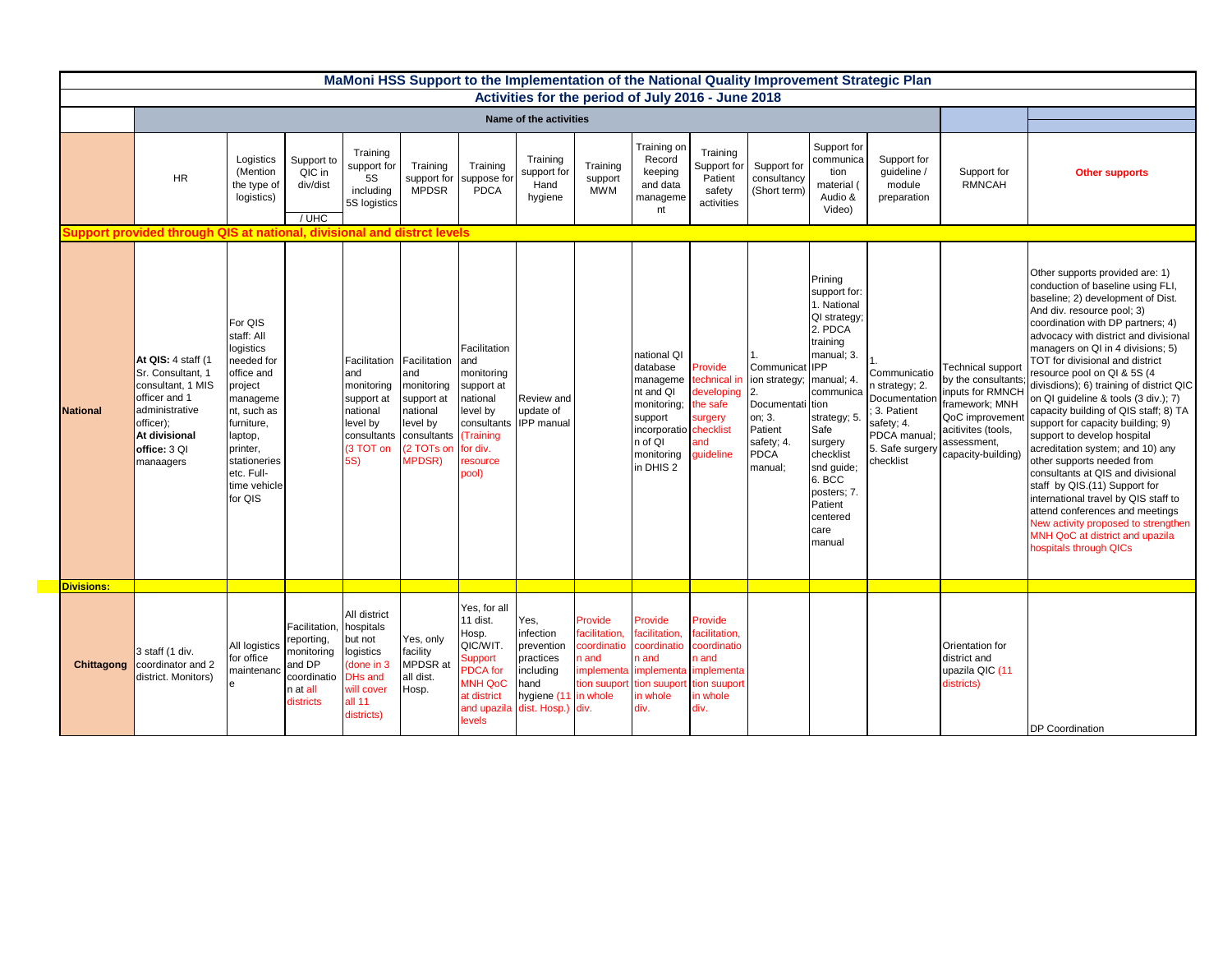| MaMoni HSS Support to the Implementation of the National Quality Improvement Strategic Plan<br>Activities for the period of July 2016 - June 2018 |                                                                                                                                                            |                                                                                                                                                                                                    |                                                                                                       |                                                                                                                         |                                                                                                       |                                                                                                                                       |                                                                                                                |                                                                                          |                                                                                                                                                       |                                                                                                    |                                                                                                                                |                                                                                                                                                                                                                                                                  |                                                                                                                             |                                                                                                                                                                 |                                                                                                                                                                                                                                                                                                                                                                                                                                                                                                                                                                                                                                                                                                                                                                                                                                                      |
|---------------------------------------------------------------------------------------------------------------------------------------------------|------------------------------------------------------------------------------------------------------------------------------------------------------------|----------------------------------------------------------------------------------------------------------------------------------------------------------------------------------------------------|-------------------------------------------------------------------------------------------------------|-------------------------------------------------------------------------------------------------------------------------|-------------------------------------------------------------------------------------------------------|---------------------------------------------------------------------------------------------------------------------------------------|----------------------------------------------------------------------------------------------------------------|------------------------------------------------------------------------------------------|-------------------------------------------------------------------------------------------------------------------------------------------------------|----------------------------------------------------------------------------------------------------|--------------------------------------------------------------------------------------------------------------------------------|------------------------------------------------------------------------------------------------------------------------------------------------------------------------------------------------------------------------------------------------------------------|-----------------------------------------------------------------------------------------------------------------------------|-----------------------------------------------------------------------------------------------------------------------------------------------------------------|------------------------------------------------------------------------------------------------------------------------------------------------------------------------------------------------------------------------------------------------------------------------------------------------------------------------------------------------------------------------------------------------------------------------------------------------------------------------------------------------------------------------------------------------------------------------------------------------------------------------------------------------------------------------------------------------------------------------------------------------------------------------------------------------------------------------------------------------------|
|                                                                                                                                                   |                                                                                                                                                            |                                                                                                                                                                                                    |                                                                                                       |                                                                                                                         |                                                                                                       |                                                                                                                                       |                                                                                                                |                                                                                          |                                                                                                                                                       |                                                                                                    |                                                                                                                                |                                                                                                                                                                                                                                                                  |                                                                                                                             |                                                                                                                                                                 |                                                                                                                                                                                                                                                                                                                                                                                                                                                                                                                                                                                                                                                                                                                                                                                                                                                      |
|                                                                                                                                                   |                                                                                                                                                            |                                                                                                                                                                                                    |                                                                                                       |                                                                                                                         |                                                                                                       |                                                                                                                                       | Name of the activities                                                                                         |                                                                                          |                                                                                                                                                       |                                                                                                    |                                                                                                                                |                                                                                                                                                                                                                                                                  |                                                                                                                             |                                                                                                                                                                 |                                                                                                                                                                                                                                                                                                                                                                                                                                                                                                                                                                                                                                                                                                                                                                                                                                                      |
|                                                                                                                                                   | <b>HR</b>                                                                                                                                                  | Logistics<br>(Mention<br>the type of<br>logistics)                                                                                                                                                 | Support to<br>QIC in<br>div/dist<br>$/$ UHC                                                           | Training<br>support for<br>5S<br>including<br>5S logistics                                                              | Training<br>support for<br><b>MPDSR</b>                                                               | Training<br>suppose for<br><b>PDCA</b>                                                                                                | Training<br>support for<br>Hand<br>hygiene                                                                     | Training<br>support<br><b>MWM</b>                                                        | Training on<br>Record<br>keeping<br>and data<br>manageme<br>nt                                                                                        | Training<br>Support for<br>Patient<br>safety<br>activities                                         | Support for<br>consultancy<br>(Short term)                                                                                     | Support for<br>communica<br>tion<br>material (<br>Audio &<br>Video)                                                                                                                                                                                              | Support for<br>quideline /<br>module<br>preparation                                                                         | Support for<br><b>RMNCAH</b>                                                                                                                                    | <b>Other supports</b>                                                                                                                                                                                                                                                                                                                                                                                                                                                                                                                                                                                                                                                                                                                                                                                                                                |
|                                                                                                                                                   | Support provided through QIS at national, divisional and distrct levels                                                                                    |                                                                                                                                                                                                    |                                                                                                       |                                                                                                                         |                                                                                                       |                                                                                                                                       |                                                                                                                |                                                                                          |                                                                                                                                                       |                                                                                                    |                                                                                                                                |                                                                                                                                                                                                                                                                  |                                                                                                                             |                                                                                                                                                                 |                                                                                                                                                                                                                                                                                                                                                                                                                                                                                                                                                                                                                                                                                                                                                                                                                                                      |
| <b>National</b>                                                                                                                                   | At QIS: 4 staff (1<br>Sr. Consultant, 1<br>consultant, 1 MIS<br>officer and 1<br>administrative<br>officer);<br>At divisional<br>office: 3 QI<br>manaagers | For QIS<br>staff: All<br>logistics<br>needed for<br>office and<br>project<br>manageme<br>nt, such as<br>furniture,<br>laptop,<br>printer,<br>stationeries<br>etc. Full-<br>time vehicle<br>for QIS |                                                                                                       | Facilitation Facilitation<br>and<br>monitoring<br>support at<br>national<br>level by<br>consultants<br>(3 TOT on<br>5S) | and<br>monitoring<br>support at<br>national<br>level by<br>consultants<br>(2 TOTs on<br><b>MPDSR)</b> | Facilitation<br>and<br>monitoring<br>support at<br>national<br>level by<br>consultants<br>(Training<br>for div.<br>resource<br>pool)  | Review and<br>update of<br><b>IPP</b> manual                                                                   |                                                                                          | national QI<br>database<br>manageme<br>nt and QI<br>monitoring;<br>support<br>incorporatio checklist<br>n of QI<br>monitoring<br>in DHIS <sub>2</sub> | Provide<br>echnical i<br>developing<br>the safe<br>surgery<br>and<br>quideline                     | Communicat IPP<br>ion strategy;<br>$\overline{2}$ .<br>Documentat<br>on; 3.<br>Patient<br>safety; 4.<br><b>PDCA</b><br>manual: | Prining<br>support for:<br>1. National<br>QI strategy:<br>2. PDCA<br>training<br>manual; 3.<br>manual; 4.<br>communica<br>i tion<br>strategy; 5.<br>Safe<br>surgery<br>checklist<br>snd guide;<br>6. BCC<br>posters; 7.<br>Patient<br>centered<br>care<br>manual | Communicatio<br>n strategy; 2.<br>Documentation<br>3. Patient<br>safety; 4.<br>PDCA manual;<br>5. Safe surgery<br>checklist | <b>Technical suppor</b><br>by the consultants<br>inputs for RMNCH<br>ramework; MNH<br>QoC improvemen<br>acitivites (tools,<br>assessment,<br>capacity-building) | Other supports provided are: 1)<br>conduction of baseline using FLI,<br>baseline; 2) development of Dist.<br>And div. resource pool; 3)<br>coordination with DP partners; 4)<br>advocacy with district and divisional<br>managers on QI in 4 divisions; 5)<br>TOT for divisional and district<br>resource pool on QI & 5S (4<br>divisdions); 6) training of district QIC<br>on QI quideline & tools (3 div.); 7)<br>capacity building of QIS staff; 8) TA<br>support for capacity building; 9)<br>support to develop hospital<br>acreditation system; and 10) any<br>other supports needed from<br>consultants at QIS and divisional<br>staff by QIS.(11) Support for<br>international travel by QIS staff to<br>attend conferences and meetings<br>New activity proposed to strengthen<br>MNH QoC at district and upazila<br>hospitals through QICs |
| <b>Divisions:</b>                                                                                                                                 |                                                                                                                                                            |                                                                                                                                                                                                    |                                                                                                       |                                                                                                                         |                                                                                                       |                                                                                                                                       |                                                                                                                |                                                                                          |                                                                                                                                                       |                                                                                                    |                                                                                                                                |                                                                                                                                                                                                                                                                  |                                                                                                                             |                                                                                                                                                                 |                                                                                                                                                                                                                                                                                                                                                                                                                                                                                                                                                                                                                                                                                                                                                                                                                                                      |
| Chittagong                                                                                                                                        | 3 staff (1 div.<br>coordinator and 2<br>district. Monitors)                                                                                                | All logistics<br>for office<br>maintenanc                                                                                                                                                          | Facilitation, hospitals<br>reporting,<br>monitoring<br>and DP<br>coordinatio<br>n at all<br>districts | All district<br>but not<br>logistics<br>done in 3<br><b>DHs and</b><br>will cover<br>all 11<br>districts)               | Yes, only<br>facility<br><b>MPDSR</b> at<br>all dist.<br>Hosp.                                        | Yes, for all<br>11 dist.<br>Hosp.<br>QIC/WIT.<br>Support<br><b>PDCA</b> for<br><b>MNH QoC</b><br>at district<br>and upazila<br>levels | Yes,<br>infection<br>prevention<br>practices<br>including<br>hand<br>hygiene (11 in whole<br>dist. Hosp.) div. | Provide<br>facilitation,<br>coordinatio<br>n and<br>implementa implementa<br>tion suupor | Provide<br>acilitation,<br>coordinatio<br>n and<br>tion suuport<br>n whole<br>div.                                                                    | Provide<br>facilitation,<br>coordinatio<br>n and<br>implementa<br>tion suuport<br>in whole<br>div. |                                                                                                                                |                                                                                                                                                                                                                                                                  |                                                                                                                             | Orientation for<br>district and<br>upazila QIC (11<br>districts)                                                                                                | DP Coordination                                                                                                                                                                                                                                                                                                                                                                                                                                                                                                                                                                                                                                                                                                                                                                                                                                      |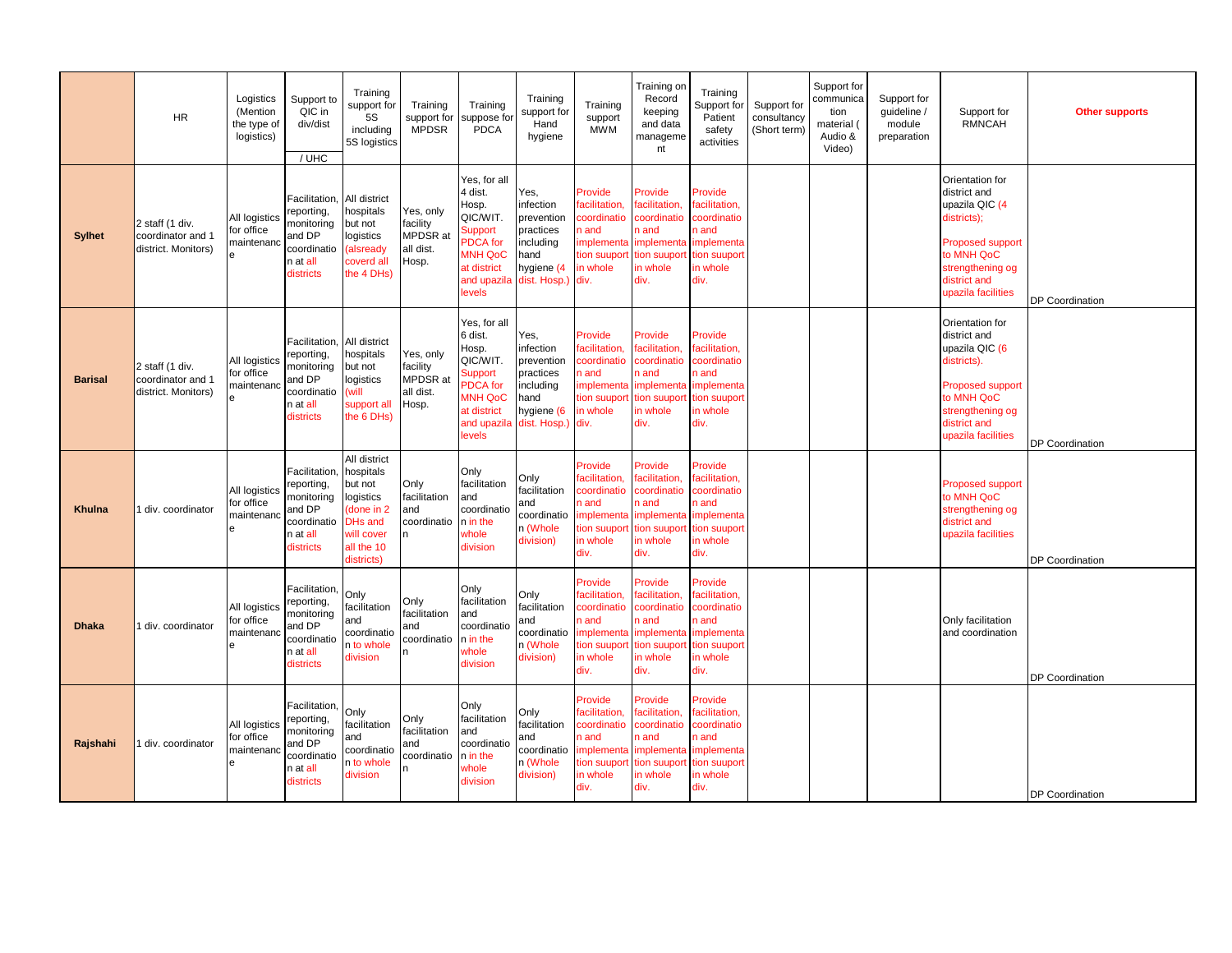|                | <b>HR</b>                                                   | Logistics<br>(Mention<br>the type of<br>logistics) | Support to<br>QIC in<br>div/dist<br>/ UHC                                                         | Training<br>support for<br><b>5S</b><br>including<br>5S logistics                                                          | Training<br>support for<br><b>MPDSR</b>                 | Training<br>uppose for<br><b>PDCA</b>                                                                                                | Training<br>support for<br>Hand<br>hygiene                                                           | Training<br>support<br><b>MWM</b>                                                                 | Training on<br>Record<br>keeping<br>and data<br>manageme<br>nt                                   | Training<br>Support for<br>Patient<br>safety<br>activities                                               | Support for<br>consultancy<br>(Short term | Support for<br>communica<br>tion<br>material (<br>Audio &<br>Video) | Support for<br>quideline /<br>module<br>preparation | Support for<br><b>RMNCAH</b>                                                                                                                                        | <b>Other supports</b> |
|----------------|-------------------------------------------------------------|----------------------------------------------------|---------------------------------------------------------------------------------------------------|----------------------------------------------------------------------------------------------------------------------------|---------------------------------------------------------|--------------------------------------------------------------------------------------------------------------------------------------|------------------------------------------------------------------------------------------------------|---------------------------------------------------------------------------------------------------|--------------------------------------------------------------------------------------------------|----------------------------------------------------------------------------------------------------------|-------------------------------------------|---------------------------------------------------------------------|-----------------------------------------------------|---------------------------------------------------------------------------------------------------------------------------------------------------------------------|-----------------------|
| <b>Sylhet</b>  | 2 staff (1 div.<br>coordinator and 1<br>district. Monitors) | All logistics<br>for office<br>maintenar<br>e      | <b>Facilitation</b><br>reporting,<br>monitoring<br>and DP<br>coordinatio<br>n at all<br>districts | All district<br>hospitals<br>but not<br>logistics<br>(alsready<br>coverd all<br>the 4 DHs)                                 | Yes, only<br>facility<br>MPDSR at<br>all dist.<br>Hosp. | Yes, for all<br>4 dist.<br>Hosp.<br>QIC/WIT.<br>Support<br><b>PDCA</b> for<br><b>MNH QoC</b><br>at district<br>and upazila<br>levels | Yes,<br>infection<br>prevention<br>practices<br>including<br>hand<br>hygiene (4<br>dist. Hosp.) div. | Provide<br>acilitation.<br>coordinatio<br>n and<br>implementa<br>ion suuport<br>in whole          | Provide<br>acilitation.<br>coordinatio<br>n and<br>implementa<br>tion suupor<br>in whole<br>div. | Provide<br>facilitation.<br>coordinatio<br>n and<br>mplementa<br>tion suuport<br>in whole<br>div.        |                                           |                                                                     |                                                     | Orientation for<br>district and<br>upazila QIC (4<br>districts):<br><b>Proposed support</b><br>to MNH QoC<br>strengthening og<br>district and<br>upazila facilities | DP Coordination       |
| <b>Barisal</b> | 2 staff (1 div.<br>coordinator and 1<br>district. Monitors) | All logistics<br>for office<br>maintenan           | <b>Facilitation</b><br>reporting,<br>monitoring<br>and DP<br>coordinatio<br>n at all<br>districts | All district<br>hospitals<br>but not<br>logistics<br>will)<br>support all<br>the 6 DHs)                                    | Yes, only<br>facility<br>MPDSR at<br>all dist.<br>Hosp. | Yes, for all<br>6 dist.<br>Hosp.<br>QIC/WIT.<br>Support<br>PDCA for<br><b>MNH QoC</b><br>at district<br>and upazila<br>levels        | Yes,<br>infection<br>prevention<br>practices<br>including<br>hand<br>hygiene (6<br>dist. Hosp.) div. | Provide<br>acilitation,<br>coordinatio<br>n and<br>mplementa<br>tion suupor<br>n whole            | Provide<br>acilitation,<br>coordinatio<br>n and<br>implement<br>tion suupor<br>in whole<br>div.  | Provide<br>facilitation,<br>coordinatio<br>n and<br>implementa<br>tion suuport<br>in whole<br>div.       |                                           |                                                                     |                                                     | Orientation for<br>district and<br>upazila QIC (6<br>districts).<br><b>Proposed support</b><br>to MNH QoC<br>strengthening og<br>district and<br>upazila facilities | DP Coordination       |
| <b>Khulna</b>  | div. coordinator                                            | All logistics<br>for office<br>maintenar           | Facilitation<br>reporting,<br>monitoring<br>and DP<br>coordinatio<br>n at all<br>districts        | All district<br>hospitals<br>but not<br>logistics<br>done in 2<br><b>DHs and</b><br>will cover<br>all the 10<br>districts) | Only<br>facilitation<br>and<br>coordinatio<br>n.        | Only<br>facilitation<br>and<br>coordinatio<br>n in the<br>whole<br>division                                                          | Only<br>facilitation<br>and<br>coordinatio<br>n (Whole<br>division)                                  | Provide<br>facilitation,<br>coordinatio<br>n and<br>mplementa<br>tion suuport<br>in whole<br>div. | Provide<br>acilitation,<br>coordinatio<br>n and<br>implementa<br>tion suupor<br>in whole<br>div. | Provide<br>facilitation,<br>coordinatio<br>n and<br>mplementa<br>tion suupor<br>in whole<br>div.         |                                           |                                                                     |                                                     | Proposed support<br>to MNH QoC<br>strengthening og<br>district and<br>upazila facilities                                                                            | DP Coordination       |
| <b>Dhaka</b>   | div. coordinator                                            | All logistics<br>for office<br>maintenar<br>è      | Facilitation,<br>reporting,<br>monitoring<br>and DP<br>coordinatio<br>n at all<br>districts       | Only<br>facilitation<br>and<br>coordinatio<br>n to whole<br>division                                                       | Only<br>facilitation<br>and<br>coordinatio<br>n         | Only<br>facilitation<br>and<br>coordinatio<br>n in the<br>whole<br>division                                                          | Only<br>facilitation<br>and<br>coordinatio<br>n (Whole<br>division)                                  | Provide<br>acilitation,<br>coordinatio<br>n and<br>mplementa<br>tion suuport<br>in whole<br>div.  | Provide<br>acilitation,<br>coordinatio<br>n and<br>implementa<br>tion suupor<br>in whole<br>div. | Provide<br>facilitation,<br>coordinatio<br>n and<br>implementa<br>tion suupor<br>in whole<br>div.        |                                           |                                                                     |                                                     | Only facilitation<br>and coordination                                                                                                                               | DP Coordination       |
| Rajshahi       | div. coordinator                                            | All logistics<br>for office<br>maintenar<br>è      | <b>Facilitation</b><br>reporting,<br>monitoring<br>and DP<br>coordinatio<br>n at all<br>districts | Only<br>facilitation<br>and<br>coordinatio<br>n to whole<br>division                                                       | Only<br>facilitation<br>and<br>coordinatio<br>n.        | Only<br>facilitation<br>and<br>coordinatio<br>n in the<br>whole<br>division                                                          | Only<br>facilitation<br>and<br>coordinatio<br>n (Whole<br>division)                                  | Provide<br>acilitation,<br>coordinatio<br>n and<br>mplementa<br>tion suuport<br>in whole<br>div.  | Provide<br>acilitation.<br>coordinatio<br>n and<br>implementa<br>tion suupor<br>in whole<br>div. | Provide<br>facilitation.<br>coordinatio<br>n and<br><b>implementa</b><br>tion suupor<br>in whole<br>div. |                                           |                                                                     |                                                     |                                                                                                                                                                     | DP Coordination       |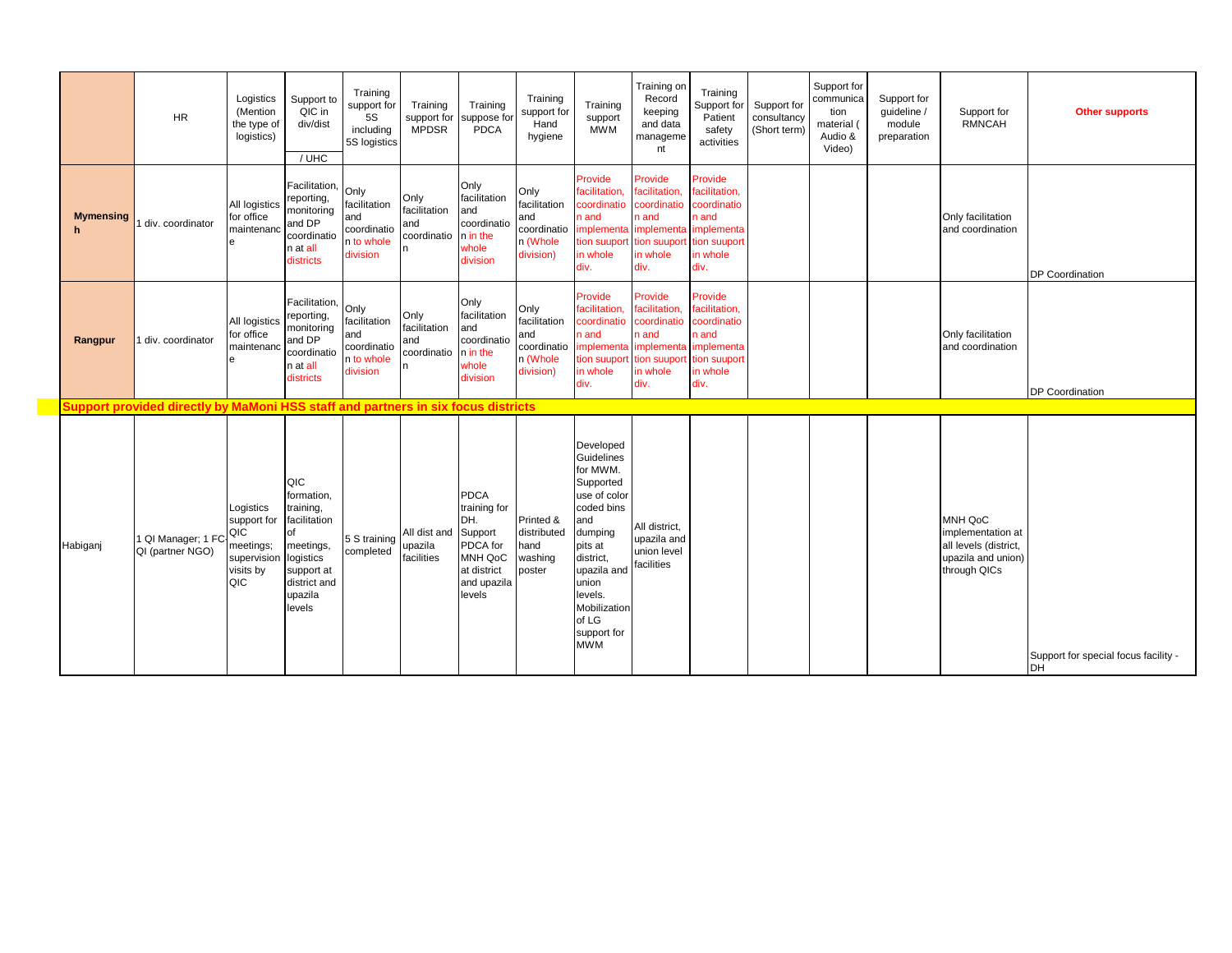|                       | <b>HR</b>                                                                         | Logistics<br>(Mention<br>the type of<br>logistics)                              | Support to<br>QIC in<br>div/dist<br>$/$ UHC                                                                                       | Training<br>support for<br>5S<br>including<br>5S logistics           | Training<br>support for<br><b>MPDSR</b>    | Training<br>suppose for<br>PDCA                                                                              | Training<br>support for<br>Hand<br>hygiene                          | Training<br>support<br><b>MWM</b>                                                                                                                                                                                 | Training on<br>Record<br>keeping<br>and data<br>manageme<br>nt                                    | Training<br>Support for<br>Patient<br>safety<br>activities                                         | Support for<br>consultancy<br>(Short term) | Support for<br>communica<br>tion<br>material (<br>Audio &<br>Video) | Support for<br>quideline /<br>module<br>preparation | Support for<br><b>RMNCAH</b>                                                                | <b>Other supports</b>                      |
|-----------------------|-----------------------------------------------------------------------------------|---------------------------------------------------------------------------------|-----------------------------------------------------------------------------------------------------------------------------------|----------------------------------------------------------------------|--------------------------------------------|--------------------------------------------------------------------------------------------------------------|---------------------------------------------------------------------|-------------------------------------------------------------------------------------------------------------------------------------------------------------------------------------------------------------------|---------------------------------------------------------------------------------------------------|----------------------------------------------------------------------------------------------------|--------------------------------------------|---------------------------------------------------------------------|-----------------------------------------------------|---------------------------------------------------------------------------------------------|--------------------------------------------|
| <b>Mymensing</b><br>h | div. coordinator                                                                  | All logistics<br>for office<br>maintenand<br>e                                  | Facilitation,<br>reporting,<br>monitoring<br>and DP<br>coordinatio<br>n at all<br>districts                                       | Only<br>facilitation<br>and<br>coordinatio<br>n to whole<br>division | Only<br>facilitation<br>and<br>coordinatio | Only<br>facilitation<br>and<br>coordinatio<br>n in the<br>whole<br>division                                  | Only<br>facilitation<br>and<br>coordinatio<br>n (Whole<br>division) | Provide<br>facilitation,<br>coordinatio<br>n and<br>implementa implementa<br>tion suuport<br>in whole<br>div.                                                                                                     | Provide<br>facilitation,<br>coordinatio<br>n and<br>tion suuport<br>in whole<br>div.              | Provide<br>facilitation,<br>coordinatio<br>n and<br>implementa<br>tion suuport<br>in whole<br>div. |                                            |                                                                     |                                                     | Only facilitation<br>and coordination                                                       | DP Coordination                            |
| Rangpur               | I div. coordinator                                                                | All logistics<br>for office<br>maintenand<br>e                                  | Facilitation,<br>reporting,<br>monitoring<br>and DP<br>coordinatio<br>n at all<br>districts                                       | Only<br>facilitation<br>and<br>coordinatio<br>n to whole<br>division | Only<br>facilitation<br>and<br>coordinatio | Only<br>facilitation<br>and<br>coordinatio<br>n in the<br>whole<br>division                                  | Only<br>facilitation<br>and<br>coordinatio<br>n (Whole<br>division) | Provide<br>facilitation.<br>coordinatio<br>n and<br>implementa<br>tion suuport<br>in whole<br>div.                                                                                                                | Provide<br>facilitation,<br>coordinatio<br>n and<br>implementa<br>tion suupor<br>in whole<br>div. | Provide<br>facilitation,<br>coordinatio<br>n and<br>implementa<br>tion suuport<br>in whole<br>div. |                                            |                                                                     |                                                     | Only facilitation<br>and coordination                                                       | <b>DP</b> Coordination                     |
|                       | Support provided directly by MaMoni HSS staff and partners in six focus districts |                                                                                 |                                                                                                                                   |                                                                      |                                            |                                                                                                              |                                                                     |                                                                                                                                                                                                                   |                                                                                                   |                                                                                                    |                                            |                                                                     |                                                     |                                                                                             |                                            |
| Habiganj              | 1 QI Manager; 1 FC<br>QI (partner NGO)                                            | Logistics<br>support for<br>QIC<br>meetings;<br>supervision<br>visits by<br>QIC | QIC<br>formation,<br>training,<br>facilitation<br>of<br>meetings,<br>logistics<br>support at<br>district and<br>upazila<br>levels | 5 S training<br>completed                                            | All dist and<br>upazila<br>facilities      | <b>PDCA</b><br>training for<br>DH.<br>Support<br>PDCA for<br>MNH QoC<br>at district<br>and upazila<br>levels | Printed &<br>distributed<br>and<br>washing<br>poster                | Developed<br>Guidelines<br>for MWM.<br>Supported<br>use of color<br>coded bins<br>and<br>dumping<br>pits at<br>district,<br>upazila and<br>union<br>levels.<br>Mobilization<br>of LG<br>support for<br><b>MWM</b> | All district,<br>upazila and<br>union level<br>facilities                                         |                                                                                                    |                                            |                                                                     |                                                     | MNH QoC<br>implementation at<br>all levels (district,<br>upazila and union)<br>through QICs | Support for special focus facility -<br>DH |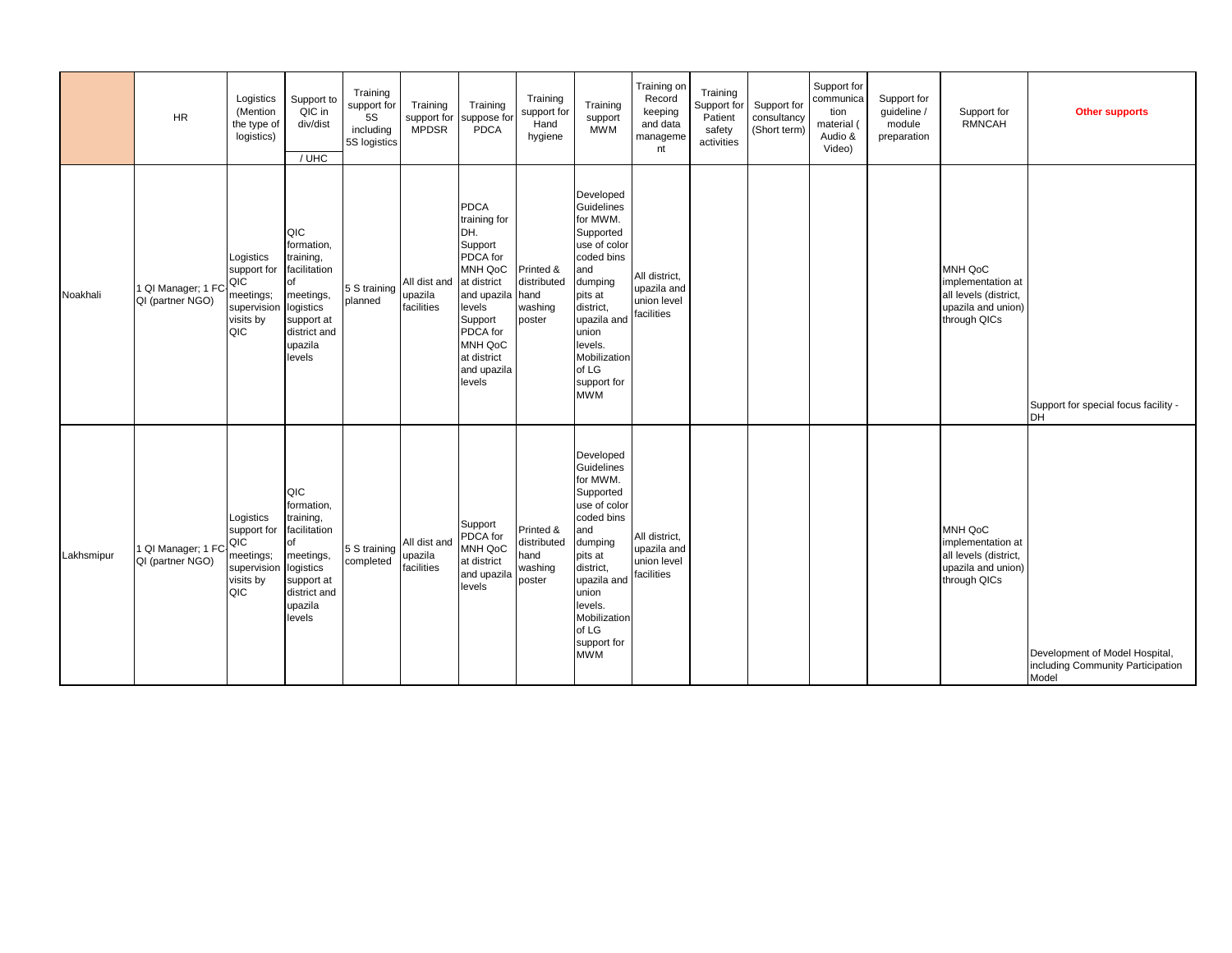|            | <b>HR</b>                               | Logistics<br>(Mention<br>the type of<br>logistics)                              | Support to<br>QIC in<br>div/dist<br>/ UHC                                                                                         | Training<br>support for<br>5S<br>including<br>5S logistics | Training<br>support for<br><b>MPDSR</b> | Training<br>suppose for<br><b>PDCA</b>                                                                                                                                                 | Training<br>support for<br>Hand<br>hygiene            | Training<br>support<br><b>MWM</b>                                                                                                                                                                                 | Training on<br>Record<br>keeping<br>and data<br>manageme<br>nt | Training<br>Support for<br>Patient<br>safety<br>activities | Support for<br>consultancy<br>(Short term) | Support for<br>communica<br>tion<br>material (<br>Audio &<br>Video) | Support for<br>quideline /<br>module<br>preparation | Support for<br><b>RMNCAH</b>                                                                | <b>Other supports</b>                                                        |
|------------|-----------------------------------------|---------------------------------------------------------------------------------|-----------------------------------------------------------------------------------------------------------------------------------|------------------------------------------------------------|-----------------------------------------|----------------------------------------------------------------------------------------------------------------------------------------------------------------------------------------|-------------------------------------------------------|-------------------------------------------------------------------------------------------------------------------------------------------------------------------------------------------------------------------|----------------------------------------------------------------|------------------------------------------------------------|--------------------------------------------|---------------------------------------------------------------------|-----------------------------------------------------|---------------------------------------------------------------------------------------------|------------------------------------------------------------------------------|
| Noakhali   | 1 QI Manager; 1 FC<br>QI (partner NGO)  | Logistics<br>support for<br>QIC<br>meetings;<br>supervision<br>visits by<br>QIC | QIC<br>formation,<br>training,<br>facilitation<br>of<br>meetings,<br>logistics<br>support at<br>district and<br>upazila<br>levels | 5 S training<br>planned                                    | All dist and<br>upazila<br>facilities   | <b>PDCA</b><br>training for<br>DH.<br>Support<br>PDCA for<br>MNH QoC<br>at district<br>and upazila<br>levels<br>Support<br>PDCA for<br>MNH QoC<br>at district<br>and upazila<br>levels | Printed &<br>distributed<br>hand<br>washing<br>poster | Developed<br>Guidelines<br>for MWM.<br>Supported<br>use of color<br>coded bins<br>and<br>dumping<br>pits at<br>district,<br>upazila and<br>union<br>levels.<br>Mobilization<br>of LG<br>support for<br><b>MWM</b> | All district,<br>upazila and<br>union level<br>facilities      |                                                            |                                            |                                                                     |                                                     | MNH QoC<br>implementation at<br>all levels (district,<br>upazila and union)<br>through QICs | Support for special focus facility -<br>DH                                   |
| Lakhsmipur | 1 QI Manager; 1 FC-<br>QI (partner NGO) | Logistics<br>support for<br>QIC<br>meetings;<br>supervision<br>visits by<br>QIC | QIC<br>formation,<br>training,<br>facilitation<br>of<br>meetings,<br>logistics<br>support at<br>district and<br>upazila<br>levels | 5 S training<br>completed                                  | All dist and<br>upazila<br>facilities   | Support<br>PDCA for<br>MNH QoC<br>at district<br>and upazila<br>levels                                                                                                                 | Printed &<br>distributed<br>hand<br>washing<br>poster | Developed<br>Guidelines<br>for MWM.<br>Supported<br>use of color<br>coded bins<br>and<br>dumping<br>pits at<br>district.<br>upazila and<br>union<br>levels.<br>Mobilization<br>of LG<br>support for<br><b>MWM</b> | All district,<br>upazila and<br>union level<br>facilities      |                                                            |                                            |                                                                     |                                                     | MNH QoC<br>implementation at<br>all levels (district,<br>upazila and union)<br>through QICs | Development of Model Hospital,<br>including Community Participation<br>Model |